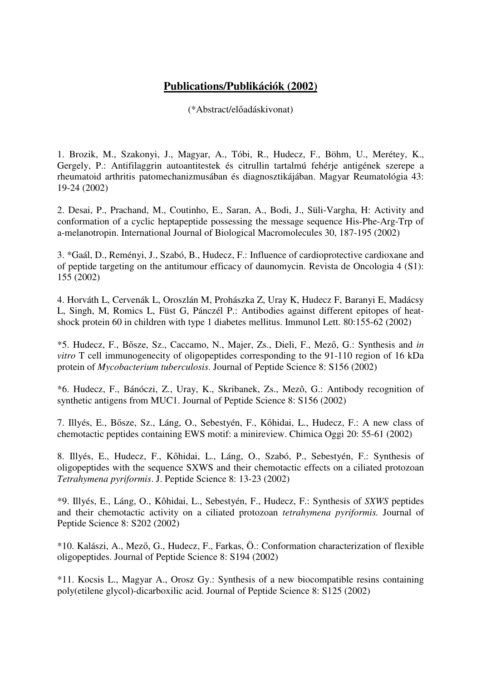## **Publications/Publikációk (2002)**

(\*Abstract/előadáskivonat)

1. Brozik, M., Szakonyi, J., Magyar, A., Tóbi, R., Hudecz, F., Böhm, U., Merétey, K., Gergely, P.: Antifilaggrin autoantitestek és citrullin tartalmú fehérje antigének szerepe a rheumatoid arthritis patomechanizmusában és diagnosztikájában. Magyar Reumatológia 43: 19-24 (2002)

2. Desai, P., Prachand, M., Coutinho, E., Saran, A., Bodi, J., Süli-Vargha, H: Activity and conformation of a cyclic heptapeptide possessing the message sequence His-Phe-Arg-Trp of a-melanotropin. International Journal of Biological Macromolecules 30, 187-195 (2002)

3. \*Gaál, D., Reményi, J., Szabó, B., Hudecz, F.: Influence of cardioprotective cardioxane and of peptide targeting on the antitumour efficacy of daunomycin. Revista de Oncologia 4 (S1): 155 (2002)

4. Horváth L, Cervenák L, Oroszlán M, Prohászka Z, Uray K, Hudecz F, Baranyi E, Madácsy L, Singh, M, Romics L, Füst G, Pánczél P.: Antibodies against different epitopes of heatshock protein 60 in children with type 1 diabetes mellitus. Immunol Lett. 80:155-62 (2002)

\*5. Hudecz, F., Bősze, Sz., Caccamo, N., Majer, Zs., Dieli, F., Mező, G.: Synthesis and *in vitro* T cell immunogenecity of oligopeptides corresponding to the 91-110 region of 16 kDa protein of *Mycobacterium tuberculosis*. Journal of Peptide Science 8: S156 (2002)

\*6. Hudecz, F., Bánóczi, Z., Uray, K., Skribanek, Zs., Mezô, G.: Antibody recognition of synthetic antigens from MUC1. Journal of Peptide Science 8: S156 (2002)

7. Illyés, E., Bősze, Sz., Láng, O., Sebestyén, F., Kőhidai, L., Hudecz, F.: A new class of chemotactic peptides containing EWS motif: a minireview. Chimica Oggi 20: 55-61 (2002)

8. Illyés, E., Hudecz, F., Kőhidai, L., Láng, O., Szabó, P., Sebestyén, F.: Synthesis of oligopeptides with the sequence SXWS and their chemotactic effects on a ciliated protozoan *Tetrahymena pyriformis*. J. Peptide Science 8: 13-23 (2002)

\*9. Illyés, E., Láng, O., Kôhidai, L., Sebestyén, F., Hudecz, F.: Synthesis of *SXWS* peptides and their chemotactic activity on a ciliated protozoan *tetrahymena pyriformis.* Journal of Peptide Science 8: S202 (2002)

\*10. Kalászi, A., Mező, G., Hudecz, F., Farkas, Ö.: Conformation characterization of flexible oligopeptides. Journal of Peptide Science 8: S194 (2002)

\*11. Kocsis L., Magyar A., Orosz Gy.: Synthesis of a new biocompatible resins containing poly(etilene glycol)-dicarboxilic acid. Journal of Peptide Science 8: S125 (2002)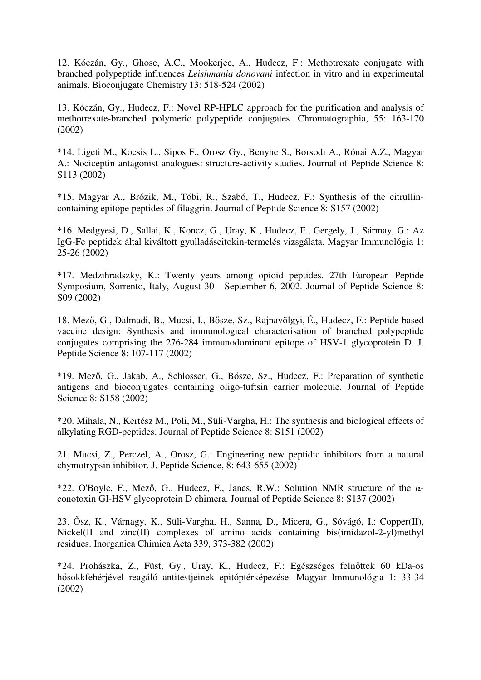12. Kóczán, Gy., Ghose, A.C., Mookerjee, A., Hudecz, F.: Methotrexate conjugate with branched polypeptide influences *Leishmania donovani* infection in vitro and in experimental animals. Bioconjugate Chemistry 13: 518-524 (2002)

13. Kóczán, Gy., Hudecz, F.: Novel RP-HPLC approach for the purification and analysis of methotrexate-branched polymeric polypeptide conjugates. Chromatographia, 55: 163-170 (2002)

\*14. Ligeti M., Kocsis L., Sipos F., Orosz Gy., Benyhe S., Borsodi A., Rónai A.Z., Magyar A.: Nociceptin antagonist analogues: structure-activity studies. Journal of Peptide Science 8: S113 (2002)

\*15. Magyar A., Brózik, M., Tóbi, R., Szabó, T., Hudecz, F.: Synthesis of the citrullincontaining epitope peptides of filaggrin. Journal of Peptide Science 8: S157 (2002)

\*16. Medgyesi, D., Sallai, K., Koncz, G., Uray, K., Hudecz, F., Gergely, J., Sármay, G.: Az IgG-Fc peptidek által kiváltott gyulladáscitokin-termelés vizsgálata. Magyar Immunológia 1: 25-26 (2002)

\*17. Medzihradszky, K.: Twenty years among opioid peptides. 27th European Peptide Symposium, Sorrento, Italy, August 30 - September 6, 2002. Journal of Peptide Science 8: S09 (2002)

18. Mező, G., Dalmadi, B., Mucsi, I., Bősze, Sz., Rajnavölgyi, É., Hudecz, F.: Peptide based vaccine design: Synthesis and immunological characterisation of branched polypeptide conjugates comprising the 276-284 immunodominant epitope of HSV-1 glycoprotein D. J. Peptide Science 8: 107-117 (2002)

\*19. Mező, G., Jakab, A., Schlosser, G., Bősze, Sz., Hudecz, F.: Preparation of synthetic antigens and bioconjugates containing oligo-tuftsin carrier molecule. Journal of Peptide Science 8: S158 (2002)

\*20. Mihala, N., Kertész M., Poli, M., Süli-Vargha, H.: The synthesis and biological effects of alkylating RGD-peptides. Journal of Peptide Science 8: S151 (2002)

21. Mucsi, Z., Perczel, A., Orosz, G.: Engineering new peptidic inhibitors from a natural chymotrypsin inhibitor. J. Peptide Science, 8: 643-655 (2002)

\*22. O'Boyle, F., Mező, G., Hudecz, F., Janes, R.W.: Solution NMR structure of the  $\alpha$ conotoxin GI-HSV glycoprotein D chimera. Journal of Peptide Science 8: S137 (2002)

23. Ősz, K., Várnagy, K., Süli-Vargha, H., Sanna, D., Micera, G., Sóvágó, I.: Copper(II), Nickel(II and zinc(II) complexes of amino acids containing bis(imidazol-2-yl)methyl residues. Inorganica Chimica Acta 339, 373-382 (2002)

\*24. Prohászka, Z., Füst, Gy., Uray, K., Hudecz, F.: Egészséges felnőttek 60 kDa-os hősokkfehérjével reagáló antitestjeinek epitóptérképezése. Magyar Immunológia 1: 33-34 (2002)